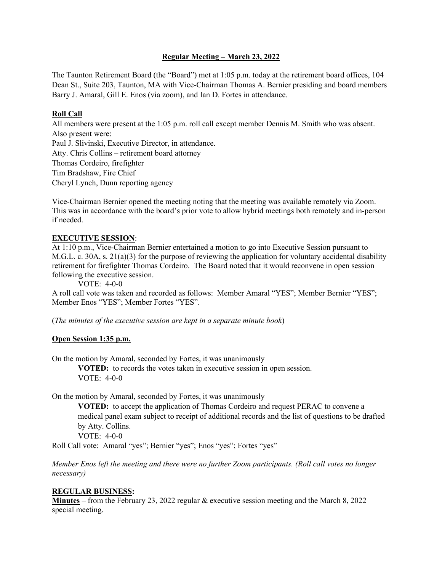## **Regular Meeting – March 23, 2022**

The Taunton Retirement Board (the "Board") met at 1:05 p.m. today at the retirement board offices, 104 Dean St., Suite 203, Taunton, MA with Vice-Chairman Thomas A. Bernier presiding and board members Barry J. Amaral, Gill E. Enos (via zoom), and Ian D. Fortes in attendance.

# **Roll Call**

All members were present at the 1:05 p.m. roll call except member Dennis M. Smith who was absent. Also present were: Paul J. Slivinski, Executive Director, in attendance. Atty. Chris Collins – retirement board attorney Thomas Cordeiro, firefighter Tim Bradshaw, Fire Chief Cheryl Lynch, Dunn reporting agency

Vice-Chairman Bernier opened the meeting noting that the meeting was available remotely via Zoom. This was in accordance with the board's prior vote to allow hybrid meetings both remotely and in-person if needed.

# **EXECUTIVE SESSION**:

At 1:10 p.m., Vice-Chairman Bernier entertained a motion to go into Executive Session pursuant to M.G.L. c. 30A, s. 21(a)(3) for the purpose of reviewing the application for voluntary accidental disability retirement for firefighter Thomas Cordeiro. The Board noted that it would reconvene in open session following the executive session.

VOTE: 4-0-0

A roll call vote was taken and recorded as follows: Member Amaral "YES"; Member Bernier "YES"; Member Enos "YES"; Member Fortes "YES".

(*The minutes of the executive session are kept in a separate minute book*)

#### **Open Session 1:35 p.m.**

On the motion by Amaral, seconded by Fortes, it was unanimously

**VOTED:** to records the votes taken in executive session in open session. VOTE: 4-0-0

On the motion by Amaral, seconded by Fortes, it was unanimously

**VOTED:** to accept the application of Thomas Cordeiro and request PERAC to convene a medical panel exam subject to receipt of additional records and the list of questions to be drafted by Atty. Collins.

VOTE: 4-0-0

Roll Call vote: Amaral "yes"; Bernier "yes"; Enos "yes"; Fortes "yes"

*Member Enos left the meeting and there were no further Zoom participants. (Roll call votes no longer necessary)*

#### **REGULAR BUSINESS:**

**Minutes** – from the February 23, 2022 regular & executive session meeting and the March 8, 2022 special meeting.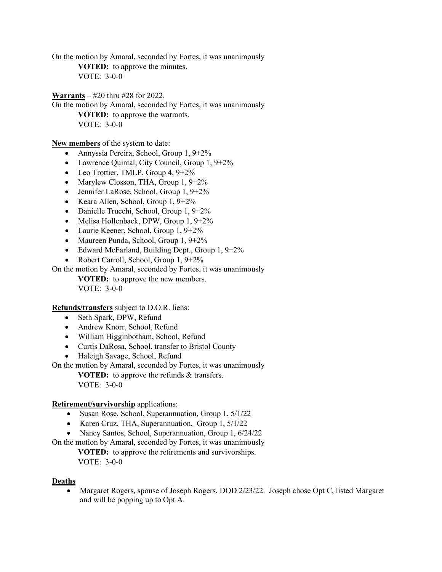On the motion by Amaral, seconded by Fortes, it was unanimously **VOTED:** to approve the minutes. VOTE: 3-0-0

**Warrants** – #20 thru #28 for 2022.

On the motion by Amaral, seconded by Fortes, it was unanimously **VOTED:** to approve the warrants. VOTE: 3-0-0

**New members** of the system to date:

- Annyssia Pereira, School, Group 1, 9+2%
- Lawrence Quintal, City Council, Group 1, 9+2%
- Leo Trottier, TMLP, Group  $4, 9+2\%$
- Marylew Closson, THA, Group 1, 9+2%
- Jennifer LaRose, School, Group 1, 9+2%
- Keara Allen, School, Group 1, 9+2%
- Danielle Trucchi, School, Group 1, 9+2%
- Melisa Hollenback, DPW, Group 1, 9+2%
- Laurie Keener, School, Group 1, 9+2%
- Maureen Punda, School, Group 1, 9+2%
- Edward McFarland, Building Dept., Group 1, 9+2%
- Robert Carroll, School, Group 1, 9+2%

On the motion by Amaral, seconded by Fortes, it was unanimously

**VOTED:** to approve the new members. VOTE: 3-0-0

**Refunds/transfers** subject to D.O.R. liens:

- Seth Spark, DPW, Refund
- Andrew Knorr, School, Refund
- William Higginbotham, School, Refund
- Curtis DaRosa, School, transfer to Bristol County
- Haleigh Savage, School, Refund

On the motion by Amaral, seconded by Fortes, it was unanimously

**VOTED:** to approve the refunds & transfers. VOTE: 3-0-0

#### **Retirement/survivorship** applications:

- Susan Rose, School, Superannuation, Group 1, 5/1/22
- Karen Cruz, THA, Superannuation, Group 1, 5/1/22
- Nancy Santos, School, Superannuation, Group 1, 6/24/22

On the motion by Amaral, seconded by Fortes, it was unanimously

**VOTED:** to approve the retirements and survivorships. VOTE: 3-0-0

#### **Deaths**

• Margaret Rogers, spouse of Joseph Rogers, DOD 2/23/22. Joseph chose Opt C, listed Margaret and will be popping up to Opt A.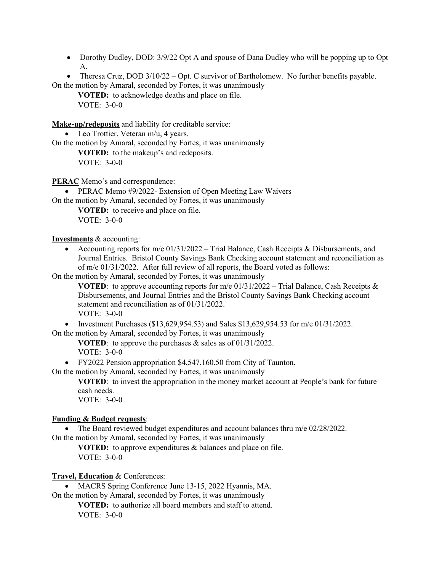• Dorothy Dudley, DOD:  $3/9/22$  Opt A and spouse of Dana Dudley who will be popping up to Opt A.

• Theresa Cruz, DOD 3/10/22 – Opt. C survivor of Bartholomew. No further benefits payable. On the motion by Amaral, seconded by Fortes, it was unanimously

**VOTED:** to acknowledge deaths and place on file. VOTE: 3-0-0

**Make-up/redeposits** and liability for creditable service:

• Leo Trottier, Veteran m/u, 4 years. On the motion by Amaral, seconded by Fortes, it was unanimously

**VOTED:** to the makeup's and redeposits. VOTE: 3-0-0

**PERAC** Memo's and correspondence:

• PERAC Memo #9/2022- Extension of Open Meeting Law Waivers

On the motion by Amaral, seconded by Fortes, it was unanimously **VOTED:** to receive and place on file.

VOTE: 3-0-0

**Investments** & accounting:

• Accounting reports for m/e 01/31/2022 – Trial Balance, Cash Receipts & Disbursements, and Journal Entries. Bristol County Savings Bank Checking account statement and reconciliation as of m/e 01/31/2022. After full review of all reports, the Board voted as follows:

On the motion by Amaral, seconded by Fortes, it was unanimously

**VOTED:** to approve accounting reports for m/e  $01/31/2022 -$  Trial Balance, Cash Receipts & Disbursements, and Journal Entries and the Bristol County Savings Bank Checking account statement and reconciliation as of 01/31/2022.

VOTE: 3-0-0

• Investment Purchases (\$13,629,954.53) and Sales \$13,629,954.53 for m/e  $01/31/2022$ .

On the motion by Amaral, seconded by Fortes, it was unanimously

**VOTED**: to approve the purchases & sales as of 01/31/2022. VOTE: 3-0-0

• FY2022 Pension appropriation \$4,547,160.50 from City of Taunton.

On the motion by Amaral, seconded by Fortes, it was unanimously

**VOTED**: to invest the appropriation in the money market account at People's bank for future cash needs.

VOTE: 3-0-0

# **Funding & Budget requests**:

• The Board reviewed budget expenditures and account balances thru  $m/e$  02/28/2022.

On the motion by Amaral, seconded by Fortes, it was unanimously

**VOTED:** to approve expenditures & balances and place on file. VOTE: 3-0-0

**Travel, Education** & Conferences:

• MACRS Spring Conference June 13-15, 2022 Hyannis, MA. On the motion by Amaral, seconded by Fortes, it was unanimously

**VOTED:** to authorize all board members and staff to attend. VOTE: 3-0-0